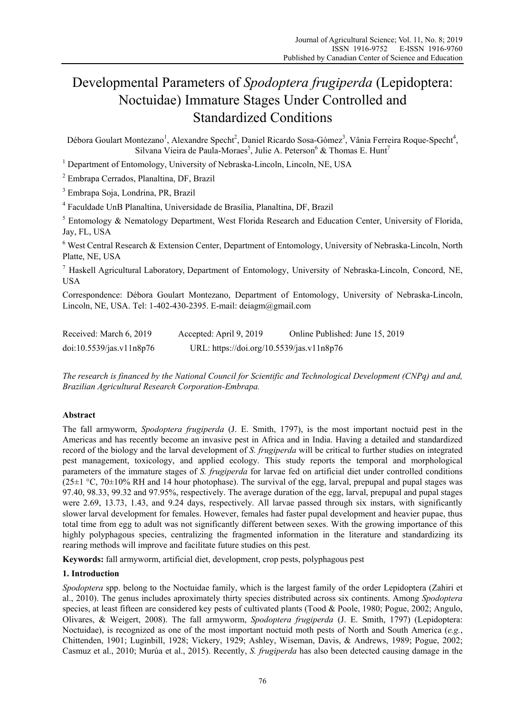# Developmental Parameters of *Spodoptera frugiperda* (Lepidoptera: Noctuidae) Immature Stages Under Controlled and Standardized Conditions

Débora Goulart Montezano<sup>1</sup>, Alexandre Specht<sup>2</sup>, Daniel Ricardo Sosa-Gómez<sup>3</sup>, Vânia Ferreira Roque-Specht<sup>4</sup>, Silvana Vieira de Paula-Moraes<sup>5</sup>, Julie A. Peterson<sup>6</sup> & Thomas E. Hunt<sup>7</sup>

<sup>1</sup> Department of Entomology, University of Nebraska-Lincoln, Lincoln, NE, USA

2 Embrapa Cerrados, Planaltina, DF, Brazil

3 Embrapa Soja, Londrina, PR, Brazil

4 Faculdade UnB Planaltina, Universidade de Brasília, Planaltina, DF, Brazil

<sup>5</sup> Entomology & Nematology Department, West Florida Research and Education Center, University of Florida, Jay, FL, USA

 $6$  West Central Research & Extension Center, Department of Entomology, University of Nebraska-Lincoln, North Platte, NE, USA

<sup>7</sup> Haskell Agricultural Laboratory, Department of Entomology, University of Nebraska-Lincoln, Concord, NE, USA

Correspondence: Débora Goulart Montezano, Department of Entomology, University of Nebraska-Lincoln, Lincoln, NE, USA. Tel: 1-402-430-2395. E-mail: deiagm@gmail.com

| Received: March 6, 2019  | Accepted: April 9, 2019                   | Online Published: June 15, 2019 |
|--------------------------|-------------------------------------------|---------------------------------|
| doi:10.5539/jas.v11n8p76 | URL: https://doi.org/10.5539/jas.v11n8p76 |                                 |

*The research is financed by the National Council for Scientific and Technological Development (CNPq) and and, Brazilian Agricultural Research Corporation-Embrapa.* 

# **Abstract**

The fall armyworm, *Spodoptera frugiperda* (J. E. Smith, 1797), is the most important noctuid pest in the Americas and has recently become an invasive pest in Africa and in India. Having a detailed and standardized record of the biology and the larval development of *S. frugiperda* will be critical to further studies on integrated pest management, toxicology, and applied ecology. This study reports the temporal and morphological parameters of the immature stages of *S. frugiperda* for larvae fed on artificial diet under controlled conditions  $(25\pm1$  °C, 70 $\pm$ 10% RH and 14 hour photophase). The survival of the egg, larval, prepupal and pupal stages was 97.40, 98.33, 99.32 and 97.95%, respectively. The average duration of the egg, larval, prepupal and pupal stages were 2.69, 13.73, 1.43, and 9.24 days, respectively. All larvae passed through six instars, with significantly slower larval development for females. However, females had faster pupal development and heavier pupae, thus total time from egg to adult was not significantly different between sexes. With the growing importance of this highly polyphagous species, centralizing the fragmented information in the literature and standardizing its rearing methods will improve and facilitate future studies on this pest.

**Keywords:** fall armyworm, artificial diet, development, crop pests, polyphagous pest

# **1. Introduction**

*Spodoptera* spp. belong to the Noctuidae family, which is the largest family of the order Lepidoptera (Zahiri et al., 2010). The genus includes aproximately thirty species distributed across six continents. Among *Spodoptera* species, at least fifteen are considered key pests of cultivated plants (Tood & Poole, 1980; Pogue, 2002; Angulo, Olivares, & Weigert, 2008). The fall armyworm, *Spodoptera frugiperda* (J. E. Smith, 1797) (Lepidoptera: Noctuidae), is recognized as one of the most important noctuid moth pests of North and South America (*e.g.*, Chittenden, 1901; Luginbill, 1928; Vickery, 1929; Ashley, Wiseman, Davis, & Andrews, 1989; Pogue, 2002; Casmuz et al., 2010; Murúa et al., 2015). Recently, *S. frugiperda* has also been detected causing damage in the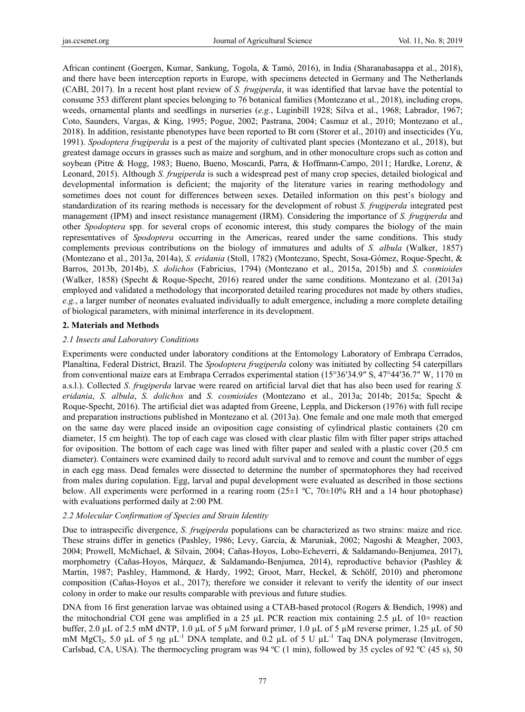African continent (Goergen, Kumar, Sankung, Togola, & Tamò, 2016), in India (Sharanabasappa et al., 2018), and there have been interception reports in Europe, with specimens detected in Germany and The Netherlands (CABI, 2017). In a recent host plant review of *S. frugiperda*, it was identified that larvae have the potential to consume 353 different plant species belonging to 76 botanical families (Montezano et al., 2018), including crops, weeds, ornamental plants and seedlings in nurseries (*e.g.*, Luginbill 1928; Silva et al., 1968; Labrador, 1967; Coto, Saunders, Vargas, & King, 1995; Pogue, 2002; Pastrana, 2004; Casmuz et al., 2010; Montezano et al., 2018). In addition, resistante phenotypes have been reported to Bt corn (Storer et al., 2010) and insecticides (Yu, 1991). *Spodoptera frugiperda* is a pest of the majority of cultivated plant species (Montezano et al., 2018), but greatest damage occurs in grasses such as maize and sorghum, and in other monoculture crops such as cotton and soybean (Pitre & Hogg, 1983; Bueno, Bueno, Moscardi, Parra, & Hoffmann-Campo, 2011; Hardke, Lorenz, & Leonard, 2015). Although *S. frugiperda* is such a widespread pest of many crop species, detailed biological and developmental information is deficient; the majority of the literature varies in rearing methodology and sometimes does not count for differences between sexes. Detailed information on this pest's biology and standardization of its rearing methods is necessary for the development of robust *S. frugiperda* integrated pest management (IPM) and insect resistance management (IRM). Considering the importance of *S. frugiperda* and other *Spodoptera* spp. for several crops of economic interest, this study compares the biology of the main representatives of *Spodoptera* occurring in the Americas, reared under the same conditions. This study complements previous contributions on the biology of immatures and adults of *S. albula* (Walker, 1857) (Montezano et al., 2013a, 2014a), *S. eridania* (Stoll, 1782) (Montezano, Specht, Sosa-Gómez, Roque-Specht, & Barros, 2013b, 2014b), *S. dolichos* (Fabricius, 1794) (Montezano et al., 2015a, 2015b) and *S. cosmioides* (Walker, 1858) (Specht & Roque-Specht, 2016) reared under the same conditions. Montezano et al. (2013a) employed and validated a methodology that incorporated detailed rearing procedures not made by others studies, *e.g.*, a larger number of neonates evaluated individually to adult emergence, including a more complete detailing of biological parameters, with minimal interference in its development.

#### **2. Materials and Methods**

#### *2.1 Insects and Laboratory Conditions*

Experiments were conducted under laboratory conditions at the Entomology Laboratory of Embrapa Cerrados, Planaltina, Federal District, Brazil. The *Spodoptera frugiperda* colony was initiated by collecting 54 caterpillars from conventional maize ears at Embrapa Cerrados experimental station (15°36′34.9″ S, 47°44′36.7″ W, 1170 m a.s.l.). Collected *S*. *frugiperda* larvae were reared on artificial larval diet that has also been used for rearing *S. eridania*, *S. albula*, *S. dolichos* and *S. cosmioides* (Montezano et al., 2013a; 2014b; 2015a; Specht & Roque-Specht, 2016). The artificial diet was adapted from Greene, Leppla, and Dickerson (1976) with full recipe and preparation instructions published in Montezano et al. (2013a). One female and one male moth that emerged on the same day were placed inside an oviposition cage consisting of cylindrical plastic containers (20 cm diameter, 15 cm height). The top of each cage was closed with clear plastic film with filter paper strips attached for oviposition. The bottom of each cage was lined with filter paper and sealed with a plastic cover (20.5 cm diameter). Containers were examined daily to record adult survival and to remove and count the number of eggs in each egg mass. Dead females were dissected to determine the number of spermatophores they had received from males during copulation. Egg, larval and pupal development were evaluated as described in those sections below. All experiments were performed in a rearing room  $(25\pm1 \degree C, 70\pm10\% \degree RH)$  and a 14 hour photophase) with evaluations performed daily at 2:00 PM.

#### *2.2 Molecular Confirmation of Species and Strain Identity*

Due to intraspecific divergence, *S. frugiperda* populations can be characterized as two strains: maize and rice. These strains differ in genetics (Pashley, 1986; Levy, García, & Maruniak, 2002; Nagoshi & Meagher, 2003, 2004; Prowell, McMichael, & Silvain, 2004; Cañas-Hoyos, Lobo-Echeverri, & Saldamando-Benjumea, 2017), morphometry (Cañas-Hoyos, Márquez, & Saldamando-Benjumea, 2014), reproductive behavior (Pashley & Martin, 1987; Pashley, Hammond, & Hardy, 1992; Groot, Marr, Heckel, & Schölf, 2010) and pheromone composition (Cañas-Hoyos et al., 2017); therefore we consider it relevant to verify the identity of our insect colony in order to make our results comparable with previous and future studies.

DNA from 16 first generation larvae was obtained using a CTAB-based protocol (Rogers & Bendich, 1998) and the mitochondrial COI gene was amplified in a 25  $\mu$ L PCR reaction mix containing 2.5  $\mu$ L of 10× reaction buffer, 2.0 µL of 2.5 mM dNTP, 1.0 µL of 5 µM forward primer, 1.0 µL of 5 µM reverse primer, 1.25 µL of 50 mM MgCl<sub>2</sub>, 5.0 µL of 5  $\eta g \mu L^{-1}$  DNA template, and 0.2 µL of 5 U  $\mu L^{-1}$  Taq DNA polymerase (Invitrogen, Carlsbad, CA, USA). The thermocycling program was  $94 \text{ °C}$  (1 min), followed by 35 cycles of 92  $\text{ °C}$  (45 s), 50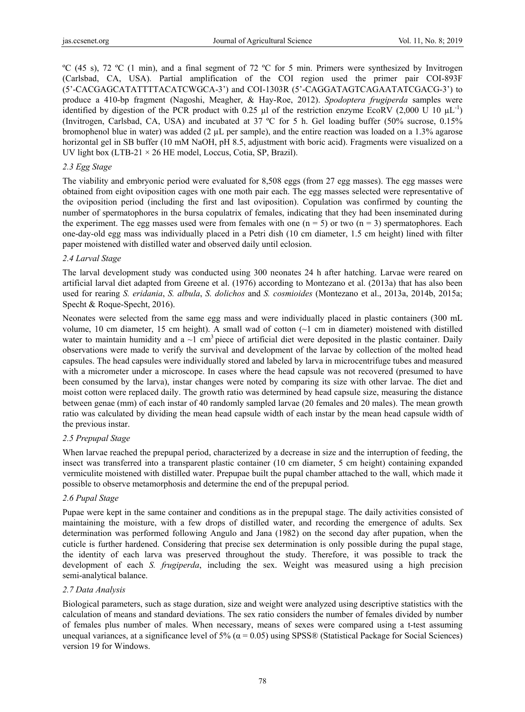ºC (45 s), 72 ºC (1 min), and a final segment of 72 ºC for 5 min. Primers were synthesized by Invitrogen (Carlsbad, CA, USA). Partial amplification of the COI region used the primer pair COI-893F (5'-CACGAGCATATTTTACATCWGCA-3') and COI-1303R (5'-CAGGATAGTCAGAATATCGACG-3') to produce a 410-bp fragment (Nagoshi, Meagher, & Hay-Roe, 2012). *Spodoptera frugiperda* samples were identified by digestion of the PCR product with 0.25  $\mu$ l of the restriction enzyme EcoRV (2,000 U 10  $\mu$ L<sup>-1</sup>) (Invitrogen, Carlsbad, CA, USA) and incubated at 37 ºC for 5 h. Gel loading buffer (50% sucrose, 0.15% bromophenol blue in water) was added (2 µL per sample), and the entire reaction was loaded on a 1.3% agarose horizontal gel in SB buffer (10 mM NaOH, pH 8.5, adjustment with boric acid). Fragments were visualized on a UV light box (LTB-21 × 26 HE model, Loccus, Cotia, SP, Brazil).

## *2.3 Egg Stage*

The viability and embryonic period were evaluated for 8,508 eggs (from 27 egg masses). The egg masses were obtained from eight oviposition cages with one moth pair each. The egg masses selected were representative of the oviposition period (including the first and last oviposition). Copulation was confirmed by counting the number of spermatophores in the bursa copulatrix of females, indicating that they had been inseminated during the experiment. The egg masses used were from females with one  $(n = 5)$  or two  $(n = 3)$  spermatophores. Each one-day-old egg mass was individually placed in a Petri dish (10 cm diameter, 1.5 cm height) lined with filter paper moistened with distilled water and observed daily until eclosion.

# *2.4 Larval Stage*

The larval development study was conducted using 300 neonates 24 h after hatching. Larvae were reared on artificial larval diet adapted from Greene et al. (1976) according to Montezano et al. (2013a) that has also been used for rearing *S. eridania*, *S. albula*, *S. dolichos* and *S. cosmioides* (Montezano et al., 2013a, 2014b, 2015a; Specht & Roque-Specht, 2016).

Neonates were selected from the same egg mass and were individually placed in plastic containers (300 mL volume, 10 cm diameter, 15 cm height). A small wad of cotton (~1 cm in diameter) moistened with distilled water to maintain humidity and a  $\sim$ 1 cm<sup>3</sup> piece of artificial diet were deposited in the plastic container. Daily observations were made to verify the survival and development of the larvae by collection of the molted head capsules. The head capsules were individually stored and labeled by larva in microcentrifuge tubes and measured with a micrometer under a microscope. In cases where the head capsule was not recovered (presumed to have been consumed by the larva), instar changes were noted by comparing its size with other larvae. The diet and moist cotton were replaced daily. The growth ratio was determined by head capsule size, measuring the distance between genae (mm) of each instar of 40 randomly sampled larvae (20 females and 20 males). The mean growth ratio was calculated by dividing the mean head capsule width of each instar by the mean head capsule width of the previous instar.

## *2.5 Prepupal Stage*

When larvae reached the prepupal period, characterized by a decrease in size and the interruption of feeding, the insect was transferred into a transparent plastic container (10 cm diameter, 5 cm height) containing expanded vermiculite moistened with distilled water. Prepupae built the pupal chamber attached to the wall, which made it possible to observe metamorphosis and determine the end of the prepupal period.

# *2.6 Pupal Stage*

Pupae were kept in the same container and conditions as in the prepupal stage. The daily activities consisted of maintaining the moisture, with a few drops of distilled water, and recording the emergence of adults. Sex determination was performed following Angulo and Jana (1982) on the second day after pupation, when the cuticle is further hardened. Considering that precise sex determination is only possible during the pupal stage, the identity of each larva was preserved throughout the study. Therefore, it was possible to track the development of each *S. frugiperda*, including the sex. Weight was measured using a high precision semi-analytical balance.

## *2.7 Data Analysis*

Biological parameters, such as stage duration, size and weight were analyzed using descriptive statistics with the calculation of means and standard deviations. The sex ratio considers the number of females divided by number of females plus number of males. When necessary, means of sexes were compared using a t-test assuming unequal variances, at a significance level of  $5\%$  ( $\alpha$  = 0.05) using SPSS® (Statistical Package for Social Sciences) version 19 for Windows.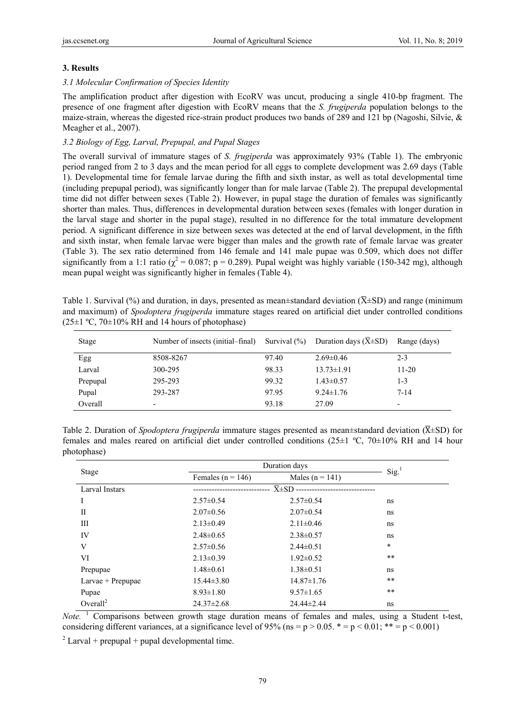# **3. Results**

# *3.1 Molecular Confirmation of Species Identity*

The amplification product after digestion with EcoRV was uncut, producing a single 410-bp fragment. The presence of one fragment after digestion with EcoRV means that the *S. frugiperda* population belongs to the maize-strain, whereas the digested rice-strain product produces two bands of 289 and 121 bp (Nagoshi, Silvie, & Meagher et al., 2007).

# *3.2 Biology of Egg, Larval, Prepupal, and Pupal Stages*

The overall survival of immature stages of *S. frugiperda* was approximately 93% (Table 1). The embryonic period ranged from 2 to 3 days and the mean period for all eggs to complete development was 2.69 days (Table 1). Developmental time for female larvae during the fifth and sixth instar, as well as total developmental time (including prepupal period), was significantly longer than for male larvae (Table 2). The prepupal developmental time did not differ between sexes (Table 2). However, in pupal stage the duration of females was significantly shorter than males. Thus, differences in developmental duration between sexes (females with longer duration in the larval stage and shorter in the pupal stage), resulted in no difference for the total immature development period. A significant difference in size between sexes was detected at the end of larval development, in the fifth and sixth instar, when female larvae were bigger than males and the growth rate of female larvae was greater (Table 3). The sex ratio determined from 146 female and 141 male pupae was 0.509, which does not differ significantly from a 1:1 ratio ( $\chi^2$  = 0.087; p = 0.289). Pupal weight was highly variable (150-342 mg), although mean pupal weight was significantly higher in females (Table 4).

Table 1. Survival (%) and duration, in days, presented as mean±standard deviation ( $\overline{X} \pm SD$ ) and range (minimum and maximum) of *Spodoptera frugiperda* immature stages reared on artificial diet under controlled conditions  $(25\pm1 \degree C, 70\pm10\% \text{ RH}$  and 14 hours of photophase)

| Stage    | Number of insects (initial–final) | Survival $(\% )$ | Duration days $(X\pm SD)$ | Range (days)             |
|----------|-----------------------------------|------------------|---------------------------|--------------------------|
| Egg      | 8508-8267                         | 97.40            | $2.69\pm0.46$             | $2 - 3$                  |
| Larval   | 300-295                           | 98.33            | $13.73 \pm 1.91$          | $11 - 20$                |
| Prepupal | 295-293                           | 99.32            | $1.43\pm 0.57$            | 1-3                      |
| Pupal    | 293-287                           | 97.95            | $9.24 \pm 1.76$           | $7 - 14$                 |
| Overall  | -                                 | 93.18            | 27.09                     | $\overline{\phantom{0}}$ |

Table 2. Duration of *Spodoptera frugiperda* immature stages presented as mean±standard deviation ( $\overline{X}$ ±SD) for females and males reared on artificial diet under controlled conditions (25±1 ºC, 70±10% RH and 14 hour photophase)

| Stage                |                       | Duration days         |                     |  |
|----------------------|-----------------------|-----------------------|---------------------|--|
|                      | Females ( $n = 146$ ) | Males ( $n = 141$ )   | $Sig.$ <sup>1</sup> |  |
| Larval Instars       |                       | $\overline{X} \pm SD$ |                     |  |
| I                    | $2.57 \pm 0.54$       | $2.57 \pm 0.54$       | ns                  |  |
| П                    | $2.07 \pm 0.56$       | $2.07 \pm 0.54$       | ns                  |  |
| Ш                    | $2.13 \pm 0.49$       | $2.11 \pm 0.46$       | ns                  |  |
| IV                   | $2.48 \pm 0.65$       | $2.38 \pm 0.57$       | ns                  |  |
| V                    | $2.57\pm0.56$         | $2.44\pm0.51$         | $\ast$              |  |
| VI                   | $2.13 \pm 0.39$       | $1.92 \pm 0.52$       | $**$                |  |
| Prepupae             | $1.48 \pm 0.61$       | $1.38 \pm 0.51$       | ns                  |  |
| Larvae + Prepupae    | $15.44\pm3.80$        | $14.87 \pm 1.76$      | $* *$               |  |
| Pupae                | $8.93 \pm 1.80$       | $9.57 \pm 1.65$       | $* *$               |  |
| Overall <sup>2</sup> | $24.37 \pm 2.68$      | 24.44±2.44            | ns                  |  |

 $Note.$ <sup>1</sup> Comparisons between growth stage duration means of females and males, using a Student t-test, considering different variances, at a significance level of 95% (ns =  $p > 0.05$ , \* =  $p < 0.01$ ; \*\* =  $p < 0.001$ )

 $2$  Larval + prepupal + pupal developmental time.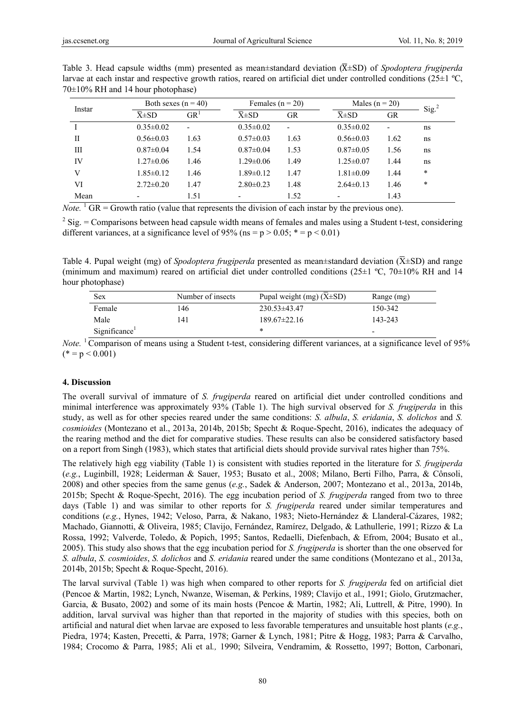| Instar      |                       | Both sexes $(n = 40)$    |                          | Females $(n = 20)$       |                          | Males ( $n = 20$ ) |                 |
|-------------|-----------------------|--------------------------|--------------------------|--------------------------|--------------------------|--------------------|-----------------|
|             | $\overline{X} \pm SD$ | GR <sup>T</sup>          | $\overline{X} \pm SD$    | GR                       | $\overline{X} \pm SD$    | <b>GR</b>          | $\text{Sig.}^2$ |
|             | $0.35 \pm 0.02$       | $\overline{\phantom{0}}$ | $0.35 \pm 0.02$          | $\overline{\phantom{a}}$ | $0.35 \pm 0.02$          | ٠                  | ns              |
| $_{\rm II}$ | $0.56 \pm 0.03$       | 1.63                     | $0.57 \pm 0.03$          | 1.63                     | $0.56 \pm 0.03$          | 1.62               | ns              |
| Ш           | $0.87 \pm 0.04$       | 1.54                     | $0.87 \pm 0.04$          | 1.53                     | $0.87 \pm 0.05$          | 1.56               | ns              |
| IV          | $1.27 \pm 0.06$       | 1.46                     | $1.29 \pm 0.06$          | 1.49                     | $1.25 \pm 0.07$          | 1.44               | ns              |
| V           | $1.85 \pm 0.12$       | 1.46                     | $1.89 \pm 0.12$          | 1.47                     | $1.81 \pm 0.09$          | 1.44               | *               |
| VI          | $2.72 \pm 0.20$       | 1.47                     | $2.80 \pm 0.23$          | 1.48                     | $2.64\pm0.13$            | 1.46               | $\ast$          |
| Mean        |                       | 1.51                     | $\overline{\phantom{0}}$ | 1.52                     | $\overline{\phantom{a}}$ | 1.43               |                 |

Table 3. Head capsule widths (mm) presented as mean±standard deviation ( $\overline{X} \pm SD$ ) of *Spodoptera frugiperda* larvae at each instar and respective growth ratios, reared on artificial diet under controlled conditions (25±1 ºC, 70±10% RH and 14 hour photophase)

 $N<sub>ote.</sub>$ <sup>1</sup> GR = Growth ratio (value that represents the division of each instar by the previous one).

 $2 \text{ Sig.}$  = Comparisons between head capsule width means of females and males using a Student t-test, considering different variances, at a significance level of 95% (ns =  $p > 0.05$ ; \* =  $p < 0.01$ )

Table 4. Pupal weight (mg) of *Spodoptera frugiperda* presented as mean±standard deviation ( $\overline{X}$ ±SD) and range (minimum and maximum) reared on artificial diet under controlled conditions ( $25\pm1$  °C,  $70\pm10\%$  RH and 14 hour photophase)

| Sex                       | Number of insects | Pupal weight (mg) $(X\pm SD)$ | Range (mg)               |
|---------------------------|-------------------|-------------------------------|--------------------------|
| Female                    | 146               | $230.53\pm43.47$              | 150-342                  |
| Male                      | 41                | $189.67 \pm 22.16$            | 143-243                  |
| Significance <sup>1</sup> |                   | *                             | $\overline{\phantom{0}}$ |

*Note.* <sup>1</sup> Comparison of means using a Student t-test, considering different variances, at a significance level of 95%  $(* = p < 0.001)$ 

## **4. Discussion**

The overall survival of immature of *S. frugiperda* reared on artificial diet under controlled conditions and minimal interference was approximately 93% (Table 1). The high survival observed for *S. frugiperda* in this study, as well as for other species reared under the same conditions: *S. albula*, *S. eridania*, *S. dolichos* and *S. cosmioides* (Montezano et al., 2013a, 2014b, 2015b; Specht & Roque-Specht, 2016), indicates the adequacy of the rearing method and the diet for comparative studies. These results can also be considered satisfactory based on a report from Singh (1983), which states that artificial diets should provide survival rates higher than 75%.

The relatively high egg viability (Table 1) is consistent with studies reported in the literature for *S. frugiperda* (*e.g.*, Luginbill, 1928; Leiderman & Sauer, 1953; Busato et al., 2008; Milano, Berti Filho, Parra, & Cônsoli, 2008) and other species from the same genus (*e.g.*, Sadek & Anderson, 2007; Montezano et al., 2013a, 2014b, 2015b; Specht & Roque-Specht, 2016). The egg incubation period of *S. frugiperda* ranged from two to three days (Table 1) and was similar to other reports for *S. frugiperda* reared under similar temperatures and conditions (*e.g.*, Hynes, 1942; Veloso, Parra, & Nakano, 1983; Nieto-Hernández & Llanderal-Cázares, 1982; Machado, Giannotti, & Oliveira, 1985; Clavijo, Fernández, Ramírez, Delgado, & Lathullerie, 1991; Rizzo & La Rossa, 1992; Valverde, Toledo, & Popich, 1995; Santos, Redaelli, Diefenbach, & Efrom, 2004; Busato et al., 2005). This study also shows that the egg incubation period for *S. frugiperda* is shorter than the one observed for *S. albula*, *S. cosmioides*, *S. dolichos* and *S. eridania* reared under the same conditions (Montezano et al., 2013a, 2014b, 2015b; Specht & Roque-Specht, 2016).

The larval survival (Table 1) was high when compared to other reports for *S. frugiperda* fed on artificial diet (Pencoe & Martin, 1982; Lynch, Nwanze, Wiseman, & Perkins, 1989; Clavijo et al., 1991; Giolo, Grutzmacher, Garcia, & Busato, 2002) and some of its main hosts (Pencoe & Martin, 1982; Ali, Luttrell, & Pitre, 1990). In addition, larval survival was higher than that reported in the majority of studies with this species, both on artificial and natural diet when larvae are exposed to less favorable temperatures and unsuitable host plants (*e.g.*, Piedra, 1974; Kasten, Precetti, & Parra, 1978; Garner & Lynch, 1981; Pitre & Hogg, 1983; Parra & Carvalho, 1984; Crocomo & Parra, 1985; Ali et al*.,* 1990; Silveira, Vendramim, & Rossetto, 1997; Botton, Carbonari,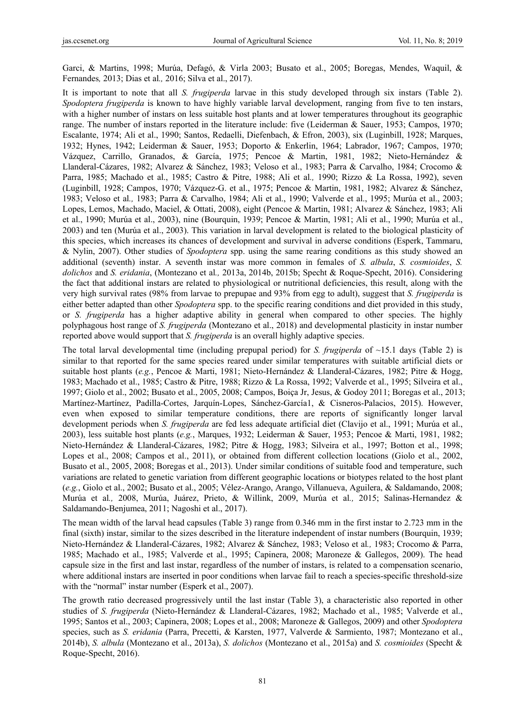Garci, & Martins, 1998; Murúa, Defagó, & Virla 2003; Busato et al., 2005; Boregas, Mendes, Waquil, & Fernandes*,* 2013; Dias et al*.,* 2016; Silva et al., 2017).

It is important to note that all *S. frugiperda* larvae in this study developed through six instars (Table 2). *Spodoptera frugiperda* is known to have highly variable larval development, ranging from five to ten instars, with a higher number of instars on less suitable host plants and at lower temperatures throughout its geographic range. The number of instars reported in the literature include: five (Leiderman & Sauer, 1953; Campos, 1970; Escalante, 1974; Ali et al., 1990; Santos, Redaelli, Diefenbach, & Efron, 2003), six (Luginbill, 1928; Marques, 1932; Hynes, 1942; Leiderman & Sauer, 1953; Doporto & Enkerlin, 1964; Labrador, 1967; Campos, 1970; Vázquez, Carrillo, Granados, & García, 1975; Pencoe & Martin, 1981, 1982; Nieto-Hernández & Llanderal-Cázares, 1982; Alvarez & Sánchez, 1983; Veloso et al., 1983; Parra & Carvalho, 1984; Crocomo & Parra, 1985; Machado et al., 1985; Castro & Pitre, 1988; Ali et al*.,* 1990; Rizzo & La Rossa, 1992), seven (Luginbill, 1928; Campos, 1970; Vázquez-G. et al., 1975; Pencoe & Martin, 1981, 1982; Alvarez & Sánchez, 1983; Veloso et al*.,* 1983; Parra & Carvalho, 1984; Ali et al., 1990; Valverde et al., 1995; Murúa et al., 2003; Lopes, Lemos, Machado, Maciel, & Ottati, 2008), eight (Pencoe & Martin, 1981; Alvarez & Sánchez, 1983; Ali et al., 1990; Murúa et al., 2003), nine (Bourquin, 1939; Pencoe & Martin, 1981; Ali et al., 1990; Murúa et al., 2003) and ten (Murúa et al., 2003). This variation in larval development is related to the biological plasticity of this species, which increases its chances of development and survival in adverse conditions (Esperk, Tammaru, & Nylin, 2007). Other studies of *Spodoptera* spp. using the same rearing conditions as this study showed an additional (seventh) instar. A seventh instar was more common in females of *S. albula*, *S. cosmioides*, *S. dolichos* and *S. eridania*, (Montezano et al*.,* 2013a, 2014b, 2015b; Specht & Roque-Specht, 2016). Considering the fact that additional instars are related to physiological or nutritional deficiencies, this result, along with the very high survival rates (98% from larvae to prepupae and 93% from egg to adult), suggest that *S. frugiperda* is either better adapted than other *Spodoptera* spp. to the specific rearing conditions and diet provided in this study, or *S. frugiperda* has a higher adaptive ability in general when compared to other species. The highly polyphagous host range of *S. frugiperda* (Montezano et al., 2018) and developmental plasticity in instar number reported above would support that *S. frugiperda* is an overall highly adaptive species.

The total larval developmental time (including prepupal period) for *S. frugiperda* of ~15.1 days (Table 2) is similar to that reported for the same species reared under similar temperatures with suitable artificial diets or suitable host plants (*e.g.*, Pencoe & Marti, 1981; Nieto-Hernández & Llanderal-Cázares, 1982; Pitre & Hogg, 1983; Machado et al., 1985; Castro & Pitre, 1988; Rizzo & La Rossa, 1992; Valverde et al., 1995; Silveira et al., 1997; Giolo et al., 2002; Busato et al., 2005, 2008; Campos, Boiça Jr, Jesus, & Godoy 2011; Boregas et al., 2013; Martínez-Martínez, Padilla-Cortes, Jarquín-Lopes, Sánchez-García1, & Cisneros-Palacios, 2015). However, even when exposed to similar temperature conditions, there are reports of significantly longer larval development periods when *S. frugiperda* are fed less adequate artificial diet (Clavijo et al., 1991; Murúa et al., 2003), less suitable host plants (*e.g.*, Marques, 1932; Leiderman & Sauer, 1953; Pencoe & Marti, 1981, 1982; Nieto-Hernández & Llanderal-Cázares, 1982; Pitre & Hogg, 1983; Silveira et al., 1997; Botton et al., 1998; Lopes et al., 2008; Campos et al., 2011), or obtained from different collection locations (Giolo et al., 2002, Busato et al., 2005, 2008; Boregas et al., 2013). Under similar conditions of suitable food and temperature, such variations are related to genetic variation from different geographic locations or biotypes related to the host plant (*e.g.*, Giolo et al., 2002; Busato et al., 2005; Vélez-Arango, Arango, Villanueva, Aguilera, & Saldamando, 2008; Murúa et al*.,* 2008, Murúa, Juárez, Prieto, & Willink, 2009, Murúa et al*.,* 2015; Salinas-Hernandez & Saldamando-Benjumea, 2011; Nagoshi et al., 2017).

The mean width of the larval head capsules (Table 3) range from 0.346 mm in the first instar to 2.723 mm in the final (sixth) instar, similar to the sizes described in the literature independent of instar numbers (Bourquin, 1939; Nieto-Hernández & Llanderal-Cázares, 1982; Alvarez & Sánchez, 1983; Veloso et al*.,* 1983; Crocomo & Parra, 1985; Machado et al., 1985; Valverde et al., 1995; Capinera, 2008; Maroneze & Gallegos, 2009). The head capsule size in the first and last instar, regardless of the number of instars, is related to a compensation scenario, where additional instars are inserted in poor conditions when larvae fail to reach a species-specific threshold-size with the "normal" instar number (Esperk et al., 2007).

The growth ratio decreased progressively until the last instar (Table 3), a characteristic also reported in other studies of *S. frugiperda* (Nieto-Hernández & Llanderal-Cázares, 1982; Machado et al., 1985; Valverde et al., 1995; Santos et al., 2003; Capinera, 2008; Lopes et al., 2008; Maroneze & Gallegos, 2009) and other *Spodoptera* species, such as *S. eridania* (Parra, Precetti, & Karsten, 1977, Valverde & Sarmiento, 1987; Montezano et al., 2014b), *S. albula* (Montezano et al., 2013a), *S. dolichos* (Montezano et al., 2015a) and *S. cosmioides* (Specht & Roque-Specht, 2016).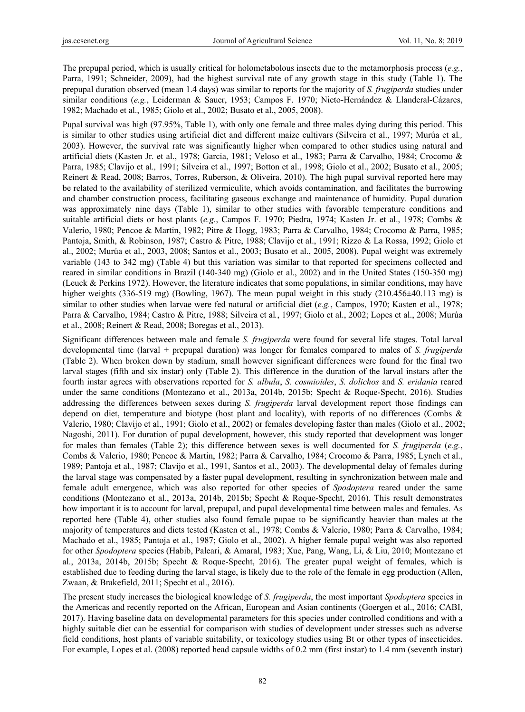The prepupal period, which is usually critical for holometabolous insects due to the metamorphosis process (*e.g.*, Parra, 1991; Schneider, 2009), had the highest survival rate of any growth stage in this study (Table 1). The prepupal duration observed (mean 1.4 days) was similar to reports for the majority of *S. frugiperda* studies under similar conditions (*e.g.*, Leiderman & Sauer, 1953; Campos F. 1970; Nieto-Hernández & Llanderal-Cázares, 1982; Machado et al., 1985; Giolo et al., 2002; Busato et al., 2005, 2008).

Pupal survival was high (97.95%, Table 1), with only one female and three males dying during this period. This is similar to other studies using artificial diet and different maize cultivars (Silveira et al., 1997; Murúa et al*.,* 2003). However, the survival rate was significantly higher when compared to other studies using natural and artificial diets (Kasten Jr. et al., 1978; Garcia, 1981; Veloso et al., 1983; Parra & Carvalho, 1984; Crocomo & Parra, 1985; Clavijo et al*.,* 1991; Silveira et al., 1997; Botton et al., 1998; Giolo et al., 2002; Busato et al., 2005; Reinert & Read, 2008; Barros, Torres, Ruberson, & Oliveira, 2010). The high pupal survival reported here may be related to the availability of sterilized vermiculite, which avoids contamination, and facilitates the burrowing and chamber construction process, facilitating gaseous exchange and maintenance of humidity. Pupal duration was approximately nine days (Table 1), similar to other studies with favorable temperature conditions and suitable artificial diets or host plants (*e.g.*, Campos F. 1970; Piedra, 1974; Kasten Jr. et al., 1978; Combs & Valerio, 1980; Pencoe & Martin, 1982; Pitre & Hogg, 1983; Parra & Carvalho, 1984; Crocomo & Parra, 1985; Pantoja, Smith, & Robinson, 1987; Castro & Pitre, 1988; Clavijo et al., 1991; Rizzo & La Rossa, 1992; Giolo et al., 2002; Murúa et al., 2003, 2008; Santos et al., 2003; Busato et al., 2005, 2008). Pupal weight was extremely variable (143 to 342 mg) (Table 4) but this variation was similar to that reported for specimens collected and reared in similar conditions in Brazil (140-340 mg) (Giolo et al., 2002) and in the United States (150-350 mg) (Leuck & Perkins 1972). However, the literature indicates that some populations, in similar conditions, may have higher weights (336-519 mg) (Bowling, 1967). The mean pupal weight in this study (210.456±40.113 mg) is similar to other studies when larvae were fed natural or artificial diet (*e.g.*, Campos, 1970; Kasten et al., 1978; Parra & Carvalho, 1984; Castro & Pitre, 1988; Silveira et al*.*, 1997; Giolo et al., 2002; Lopes et al., 2008; Murúa et al., 2008; Reinert & Read, 2008; Boregas et al., 2013).

Significant differences between male and female *S. frugiperda* were found for several life stages. Total larval developmental time (larval + prepupal duration) was longer for females compared to males of *S. frugiperda*  (Table 2). When broken down by stadium, small however significant differences were found for the final two larval stages (fifth and six instar) only (Table 2). This difference in the duration of the larval instars after the fourth instar agrees with observations reported for *S. albula*, *S. cosmioides*, *S. dolichos* and *S. eridania* reared under the same conditions (Montezano et al., 2013a, 2014b, 2015b; Specht & Roque-Specht, 2016). Studies addressing the differences between sexes during *S. frugiperda* larval development report those findings can depend on diet, temperature and biotype (host plant and locality), with reports of no differences (Combs & Valerio, 1980; Clavijo et al., 1991; Giolo et al., 2002) or females developing faster than males (Giolo et al., 2002; Nagoshi, 2011). For duration of pupal development, however, this study reported that development was longer for males than females (Table 2); this difference between sexes is well documented for *S. frugiperda* (*e.g.*, Combs & Valerio, 1980; Pencoe & Martin, 1982; Parra & Carvalho, 1984; Crocomo & Parra, 1985; Lynch et al., 1989; Pantoja et al., 1987; Clavijo et al., 1991, Santos et al., 2003). The developmental delay of females during the larval stage was compensated by a faster pupal development, resulting in synchronization between male and female adult emergence, which was also reported for other species of *Spodoptera* reared under the same conditions (Montezano et al., 2013a, 2014b, 2015b; Specht & Roque-Specht, 2016). This result demonstrates how important it is to account for larval, prepupal, and pupal developmental time between males and females. As reported here (Table 4), other studies also found female pupae to be significantly heavier than males at the majority of temperatures and diets tested (Kasten et al., 1978; Combs & Valerio, 1980; Parra & Carvalho, 1984; Machado et al., 1985; Pantoja et al., 1987; Giolo et al., 2002). A higher female pupal weight was also reported for other *Spodoptera* species (Habib, Paleari, & Amaral, 1983; Xue, Pang, Wang, Li, & Liu, 2010; Montezano et al., 2013a, 2014b, 2015b; Specht & Roque-Specht, 2016). The greater pupal weight of females, which is established due to feeding during the larval stage, is likely due to the role of the female in egg production (Allen, Zwaan, & Brakefield, 2011; Specht et al., 2016).

The present study increases the biological knowledge of *S. frugiperda*, the most important *Spodoptera* species in the Americas and recently reported on the African, European and Asian continents (Goergen et al., 2016; CABI, 2017). Having baseline data on developmental parameters for this species under controlled conditions and with a highly suitable diet can be essential for comparison with studies of development under stresses such as adverse field conditions, host plants of variable suitability, or toxicology studies using Bt or other types of insecticides. For example, Lopes et al. (2008) reported head capsule widths of 0.2 mm (first instar) to 1.4 mm (seventh instar)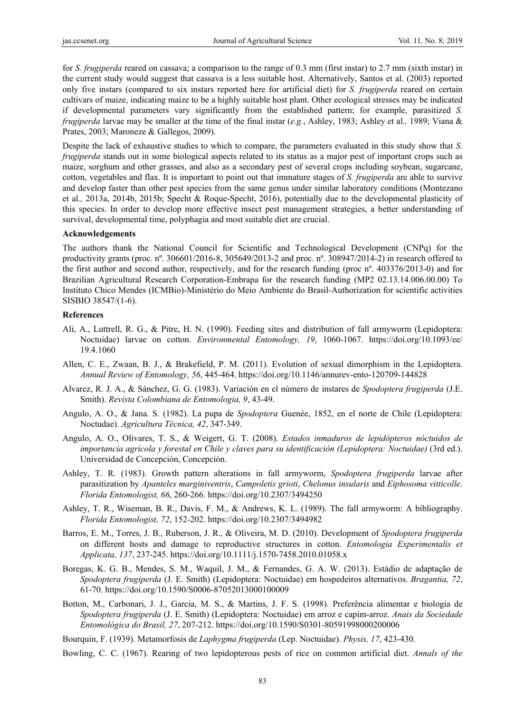for *S. frugiperda* reared on cassava; a comparison to the range of 0.3 mm (first instar) to 2.7 mm (sixth instar) in the current study would suggest that cassava is a less suitable host. Alternatively, Santos et al. (2003) reported only five instars (compared to six instars reported here for artificial diet) for *S. frugiperda* reared on certain cultivars of maize, indicating maize to be a highly suitable host plant. Other ecological stresses may be indicated if developmental parameters vary significantly from the established pattern; for example, parasitized *S. frugiperda* larvae may be smaller at the time of the final instar (*e.g.*, Ashley, 1983; Ashley et al*.,* 1989; Viana & Prates, 2003; Maroneze & Gallegos, 2009).

Despite the lack of exhaustive studies to which to compare, the parameters evaluated in this study show that *S. frugiperda* stands out in some biological aspects related to its status as a major pest of important crops such as maize, sorghum and other grasses, and also as a secondary pest of several crops including soybean, sugarcane, cotton, vegetables and flax. It is important to point out that immature stages of *S. frugiperda* are able to survive and develop faster than other pest species from the same genus under similar laboratory conditions (Montezano et al*.,* 2013a, 2014b, 2015b; Specht & Roque-Specht, 2016), potentially due to the developmental plasticity of this species. In order to develop more effective insect pest management strategies, a better understanding of survival, developmental time, polyphagia and most suitable diet are crucial.

#### **Acknowledgements**

The authors thank the National Council for Scientific and Technological Development (CNPq) for the productivity grants (proc. nº. 306601/2016-8, 305649/2013-2 and proc. nº. 308947/2014-2) in research offered to the first author and second author, respectively, and for the research funding (proc nº. 403376/2013-0) and for Brazilian Agricultural Research Corporation-Embrapa for the research funding (MP2 02.13.14.006.00.00) To Instituto Chico Mendes (ICMBio)-Ministério do Meio Ambiente do Brasil-Authorization for scientific activities SISBIO 38547/(1-6).

#### **References**

- Ali, A., Luttrell, R. G., & Pitre, H. N. (1990). Feeding sites and distribution of fall armyworm (Lepidoptera: Noctuidae) larvae on cotton. *Environmental Entomology, 19*, 1060-1067. https://doi.org/10.1093/ee/ 19.4.1060
- Allen, C. E., Zwaan, B. J., & Brakefield, P. M. (2011). Evolution of sexual dimorphism in the Lepidoptera. *Annual Review of Entomology, 56*, 445-464. https://doi.org/10.1146/annurev-ento-120709-144828
- Alvarez, R. J. A., & Sánchez, G. G. (1983). Variación en el número de instares de *Spodoptera frugiperda* (J.E. Smith). *Revista Colombiana de Entomologia, 9*, 43-49.
- Angulo, A. O., & Jana. S. (1982). La pupa de *Spodoptera* Guenée, 1852, en el norte de Chile (Lepidoptera: Noctudae). *Agricultura Técnica, 42*, 347-349.
- Angulo, A. O., Olivares, T. S., & Weigert, G. T. (2008). *Estados inmaduros de lepidópteros nóctuidos de importancia agrícola y forestal en Chile y claves para su identificación (Lepidoptera: Noctuidae)* (3rd ed.). Universidad de Concepción, Concepción.
- Ashley, T. R. (1983). Growth pattern alterations in fall armyworm, *Spodoptera frugiperda* larvae after parasitization by *Apanteles marginiventris*, *Campoletis grioti*, *Chelonus insularis* and *Eiphosoma vitticolle*. *Florida Entomologist, 66*, 260-266. https://doi.org/10.2307/3494250
- Ashley, T. R., Wiseman, B. R., Davis, F. M., & Andrews, K. L. (1989). The fall armyworm: A bibliography. *Florida Entomologist, 72*, 152-202. https://doi.org/10.2307/3494982
- Barros, E. M., Torres, J. B., Ruberson, J. R., & Oliveira, M. D. (2010). Development of *Spodoptera frugiperda* on different hosts and damage to reproductive structures in cotton. *Entomologia Experimentalis et Applicata, 137*, 237-245. https://doi.org/10.1111/j.1570-7458.2010.01058.x
- Boregas, K. G. B., Mendes, S. M., Waquil, J. M., & Fernandes, G. A. W. (2013). Estádio de adaptação de *Spodoptera frugiperda* (J. E. Smith) (Lepidoptera: Noctuidae) em hospedeiros alternativos. *Bragantia, 72*, 61-70. https://doi.org/10.1590/S0006-87052013000100009
- Botton, M., Carbonari, J. J., Garcia, M. S., & Martins, J. F. S. (1998). Preferência alimentar e biologia de *Spodoptera frugiperda* (J. E. Smith) (Lepidoptera: Noctuidae) em arroz e capim-arroz. *Anais da Sociedade Entomológica do Brasil, 27*, 207-212. https://doi.org/10.1590/S0301-80591998000200006
- Bourquin, F. (1939). Metamorfosis de *Laphygma frugiperda* (Lep. Noctuidae). *Physis, 17*, 423-430.
- Bowling, C. C. (1967). Rearing of two lepidopterous pests of rice on common artificial diet. *Annals of the*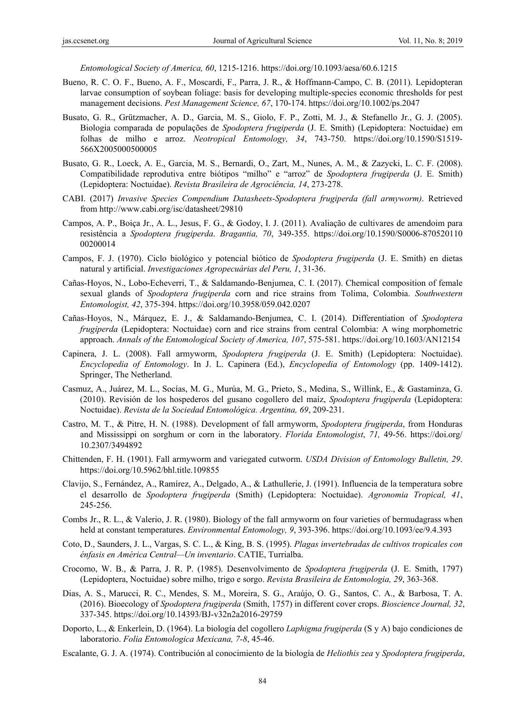*Entomological Society of America, 60*, 1215-1216. https://doi.org/10.1093/aesa/60.6.1215

- Bueno, R. C. O. F., Bueno, A. F., Moscardi, F., Parra, J. R., & Hoffmann-Campo, C. B. (2011). Lepidopteran larvae consumption of soybean foliage: basis for developing multiple-species economic thresholds for pest management decisions. *Pest Management Science, 67*, 170-174. https://doi.org/10.1002/ps.2047
- Busato, G. R., Grützmacher, A. D., Garcia, M. S., Giolo, F. P., Zotti, M. J., & Stefanello Jr., G. J. (2005). Biologia comparada de populações de *Spodoptera frugiperda* (J. E. Smith) (Lepidoptera: Noctuidae) em folhas de milho e arroz. *Neotropical Entomology, 34*, 743-750. https://doi.org/10.1590/S1519- 566X2005000500005
- Busato, G. R., Loeck, A. E., Garcia, M. S., Bernardi, O., Zart, M., Nunes, A. M., & Zazycki, L. C. F. (2008). Compatibilidade reprodutiva entre biótipos "milho" e "arroz" de *Spodoptera frugiperda* (J. E. Smith) (Lepidoptera: Noctuidae). *Revista Brasileira de Agrociência, 14*, 273-278.
- CABI. (2017) *Invasive Species Compendium Datasheets-Spodoptera frugiperda (fall armyworm)*. Retrieved from http://www.cabi.org/isc/datasheet/29810
- Campos, A. P., Boiça Jr., A. L., Jesus, F. G., & Godoy, I. J. (2011). Avaliação de cultivares de amendoim para resistência a *Spodoptera frugiperda*. *Bragantia, 70*, 349-355. https://doi.org/10.1590/S0006-870520110 00200014
- Campos, F. J. (1970). Ciclo biológico y potencial biótico de *Spodoptera frugiperda* (J. E. Smith) en dietas natural y artificial. *Investigaciones Agropecuárias del Peru, 1*, 31-36.
- Cañas-Hoyos, N., Lobo-Echeverri, T., & Saldamando-Benjumea, C. I. (2017). Chemical composition of female sexual glands of *Spodoptera frugiperda* corn and rice strains from Tolima, Colombia. *Southwestern Entomologist, 42*, 375-394. https://doi.org/10.3958/059.042.0207
- Cañas-Hoyos, N., Márquez, E. J., & Saldamando-Benjumea, C. I. (2014). Differentiation of *Spodoptera frugiperda* (Lepidoptera: Noctuidae) corn and rice strains from central Colombia: A wing morphometric approach. *Annals of the Entomological Society of America, 107*, 575-581. https://doi.org/10.1603/AN12154
- Capinera, J. L. (2008). Fall armyworm, *Spodoptera frugiperda* (J. E. Smith) (Lepidoptera: Noctuidae). *Encyclopedia of Entomology*. In J. L. Capinera (Ed.), *Encyclopedia of Entomology* (pp. 1409-1412). Springer, The Netherland.
- Casmuz, A., Juárez, M. L., Socías, M. G., Murúa, M. G., Prieto, S., Medina, S., Willink, E., & Gastaminza, G. (2010). Revisión de los hospederos del gusano cogollero del maíz, *Spodoptera frugiperda* (Lepidoptera: Noctuidae). *Revista de la Sociedad Entomológica. Argentina, 69*, 209-231.
- Castro, M. T., & Pitre, H. N. (1988). Development of fall armyworm, *Spodoptera frugiperda*, from Honduras and Mississippi on sorghum or corn in the laboratory. *Florida Entomologist*, *71,* 49-56. https://doi.org/ 10.2307/3494892
- Chittenden, F. H. (1901). Fall armyworm and variegated cutworm. *USDA Division of Entomology Bulletin, 29*. https://doi.org/10.5962/bhl.title.109855
- Clavijo, S., Fernández, A., Ramírez, A., Delgado, A., & Lathullerie, J. (1991). Influencia de la temperatura sobre el desarrollo de *Spodoptera frugiperda* (Smith) (Lepidoptera: Noctuidae). *Agronomia Tropical, 41*, 245-256.
- Combs Jr., R. L., & Valerio, J. R. (1980). Biology of the fall armyworm on four varieties of bermudagrass when held at constant temperatures. *Environmental Entomology, 9*, 393-396. https://doi.org/10.1093/ee/9.4.393
- Coto, D., Saunders, J. L., Vargas, S. C. L., & King, B. S. (1995). *Plagas invertebradas de cultivos tropicales con énfasis en América Central—Un inventario*. CATIE, Turrialba.
- Crocomo, W. B., & Parra, J. R. P. (1985). Desenvolvimento de *Spodoptera frugiperda* (J. E. Smith, 1797) (Lepidoptera, Noctuidae) sobre milho, trigo e sorgo. *Revista Brasileira de Entomologia, 29*, 363-368.
- Dias, A. S., Marucci, R. C., Mendes, S. M., Moreira, S. G., Araújo, O. G., Santos, C. A., & Barbosa, T. A. (2016). Bioecology of *Spodoptera frugiperda* (Smith, 1757) in different cover crops. *Bioscience Journal, 32*, 337-345. https://doi.org/10.14393/BJ-v32n2a2016-29759
- Doporto, L., & Enkerlein, D. (1964). La biología del cogollero *Laphigma frugiperda* (S y A) bajo condiciones de laboratorio. *Folia Entomologica Mexicana, 7-8*, 45-46.
- Escalante, G. J. A. (1974). Contribución al conocimiento de la biología de *Heliothis zea* y *Spodoptera frugiperda*,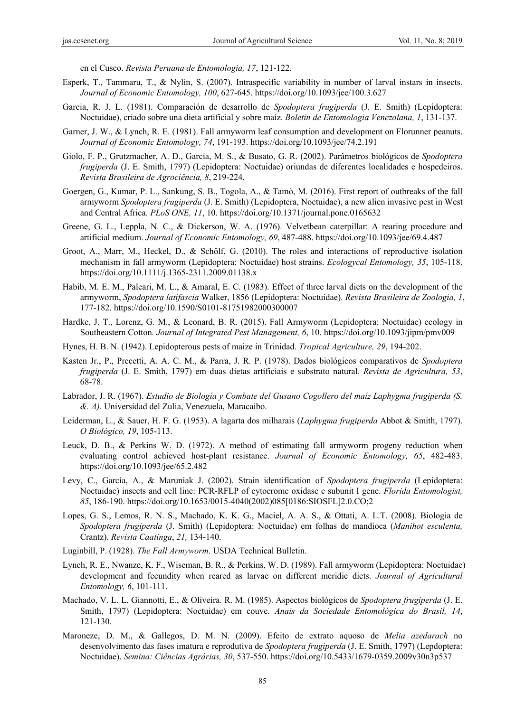en el Cusco. *Revista Peruana de Entomologia, 17*, 121-122.

- Esperk, T., Tammaru, T., & Nylin, S. (2007). Intraspecific variability in number of larval instars in insects. *Journal of Economic Entomology, 100*, 627-645. https://doi.org/10.1093/jee/100.3.627
- Garcia, R. J. L. (1981). Comparación de desarrollo de *Spodoptera frugiperda* (J. E. Smith) (Lepidoptera: Noctuidae), criado sobre una dieta artificial y sobre maíz. *Boletin de Entomologia Venezolana, 1*, 131-137.
- Garner, J. W., & Lynch, R. E. (1981). Fall armyworm leaf consumption and development on Florunner peanuts. *Journal of Economic Entomology, 74*, 191-193. https://doi.org/10.1093/jee/74.2.191
- Giolo, F. P., Grutzmacher, A. D., Garcia, M. S., & Busato, G. R. (2002). Parâmetros biológicos de *Spodoptera frugiperda* (J. E. Smith, 1797) (Lepidoptera: Noctuidae) oriundas de diferentes localidades e hospedeiros. *Revista Brasileira de Agrociência, 8*, 219-224.
- Goergen, G., Kumar, P. L., Sankung, S. B., Togola, A., & Tamò, M. (2016). First report of outbreaks of the fall armyworm *Spodoptera frugiperda* (J. E. Smith) (Lepidoptera, Noctuidae), a new alien invasive pest in West and Central Africa. *PLoS ONE, 11*, 10. https://doi.org/10.1371/journal.pone.0165632
- Greene, G. L., Leppla, N. C., & Dickerson, W. A. (1976). Velvetbean caterpillar: A rearing procedure and artificial medium. *Journal of Economic Entomology, 69*, 487-488. https://doi.org/10.1093/jee/69.4.487
- Groot, A., Marr, M., Heckel, D., & Schölf, G. (2010). The roles and interactions of reproductive isolation mechanism in fall armyworm (Lepidoptera: Noctuidae) host strains. *Ecologycal Entomology, 35*, 105-118. https://doi.org/10.1111/j.1365-2311.2009.01138.x
- Habib, M. E. M., Paleari, M. L., & Amaral, E. C. (1983). Effect of three larval diets on the development of the armyworm, *Spodoptera latifascia* Walker, 1856 (Lepidoptera: Noctuidae). *Revista Brasileira de Zoologia, 1*, 177-182. https://doi.org/10.1590/S0101-81751982000300007
- Hardke, J. T., Lorenz, G. M., & Leonard, B. R. (2015). Fall Armyworm (Lepidoptera: Noctuidae) ecology in Southeastern Cotton*. Journal of Integrated Pest Management, 6*, 10. https://doi.org/10.1093/jipm/pmv009
- Hynes, H. B. N. (1942). Lepidopterous pests of maize in Trinidad. *Tropical Agriculture, 29*, 194-202.
- Kasten Jr., P., Precetti, A. A. C. M., & Parra, J. R. P. (1978). Dados biológicos comparativos de *Spodoptera frugiperda* (J. E. Smith, 1797) em duas dietas artificiais e substrato natural. *Revista de Agricultura, 53*, 68-78.
- Labrador, J. R. (1967). *Estudio de Biología y Combate del Gusano Cogollero del maíz Laphygma frugiperda (S. &. A)*. Universidad del Zulia, Venezuela, Maracaibo.
- Leiderman, L., & Sauer, H. F. G. (1953). A lagarta dos milharais (*Laphygma frugiperda* Abbot & Smith, 1797). *O Biológico, 19*, 105-113.
- Leuck, D. B., & Perkins W. D. (1972). A method of estimating fall armyworm progeny reduction when evaluating control achieved host-plant resistance. *Journal of Economic Entomology, 65*, 482-483. https://doi.org/10.1093/jee/65.2.482
- Levy, C., García, A., & Maruniak J. (2002). Strain identification of *Spodoptera frugiperda* (Lepidoptera: Noctuidae) insects and cell line: PCR-RFLP of cytocrome oxidase c subunit I gene. *Florida Entomologist, 85*, 186-190. https://doi.org/10.1653/0015-4040(2002)085[0186:SIOSFL]2.0.CO;2
- Lopes, G. S., Lemos, R. N. S., Machado, K. K. G., Maciel, A. A. S., & Ottati, A. L.T. (2008). Biologia de *Spodoptera frugiperda* (J. Smith) (Lepidoptera: Noctuidae) em folhas de mandioca (*Manihot esculenta,*  Crantz). *Revista Caatinga*, *21,* 134-140.
- Luginbill, P. (1928). *The Fall Armyworm*. USDA Technical Bulletin.
- Lynch, R. E., Nwanze, K. F., Wiseman, B. R., & Perkins, W. D. (1989). Fall armyworm (Lepidoptera: Noctuidae) development and fecundity when reared as larvae on different meridic diets. *Journal of Agricultural Entomology, 6*, 101-111.
- Machado, V. L. L, Giannotti, E., & Oliveira. R. M. (1985). Aspectos biológicos de *Spodoptera frugiperda* (J. E. Smith, 1797) (Lepidoptera: Noctuidae) em couve. *Anais da Sociedade Entomológica do Brasil, 14*, 121-130.
- Maroneze, D. M., & Gallegos, D. M. N. (2009). Efeito de extrato aquoso de *Melia azedarach* no desenvolvimento das fases imatura e reprodutiva de *Spodoptera frugiperda* (J. E. Smith, 1797) (Lepdoptera: Noctuidae). *Semina: Ciências Agrárias, 30*, 537-550. https://doi.org/10.5433/1679-0359.2009v30n3p537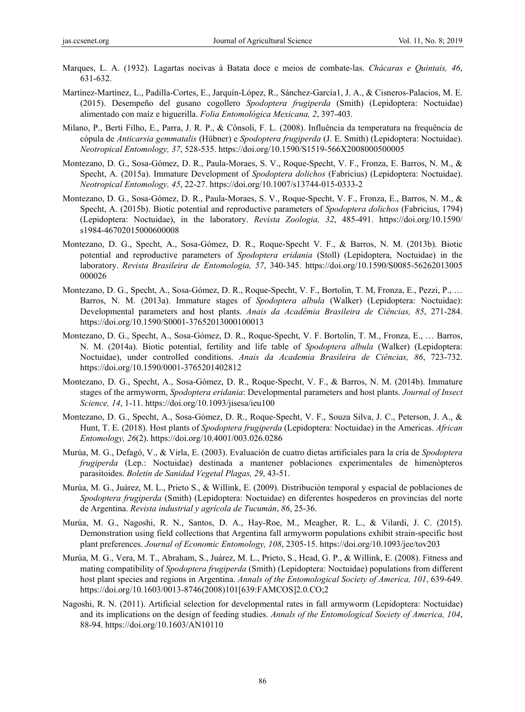- Marques, L. A. (1932). Lagartas nocivas à Batata doce e meios de combate-las. *Chácaras e Quintais, 46*, 631-632.
- Martínez-Martínez, L., Padilla-Cortes, E., Jarquín-López, R., Sánchez-García1, J. A., & Cisneros-Palacios, M. E. (2015). Desempeño del gusano cogollero *Spodoptera frugiperda* (Smith) (Lepidoptera: Noctuidae) alimentado con maíz e higuerilla. *Folia Entomológica Mexicana, 2*, 397-403.
- Milano, P., Berti Filho, E., Parra, J. R. P., & Cônsoli, F. L. (2008). Influência da temperatura na frequência de cópula de *Anticarsia gemmatalis* (Hübner) e *Spodoptera frugiperda* (J. E. Smith) (Lepidoptera: Noctuidae). *Neotropical Entomology, 37*, 528-535. https://doi.org/10.1590/S1519-566X2008000500005
- Montezano, D. G., Sosa-Gómez, D. R., Paula-Moraes, S. V., Roque-Specht, V. F., Fronza, E. Barros, N. M., & Specht, A. (2015a). Immature Development of *Spodoptera dolichos* (Fabricius) (Lepidoptera: Noctuidae). *Neotropical Entomology, 45*, 22-27. https://doi.org/10.1007/s13744-015-0333-2
- Montezano, D. G., Sosa-Gómez, D. R., Paula-Moraes, S. V., Roque-Specht, V. F., Fronza, E., Barros, N. M., & Specht, A. (2015b). Biotic potential and reproductive parameters of *Spodoptera dolichos* (Fabricius, 1794) (Lepidoptera: Noctuidae), in the laboratory. *Revista Zoologia, 32*, 485-491. https://doi.org/10.1590/ s1984-46702015000600008
- Montezano, D. G., Specht, A., Sosa-Gómez, D. R., Roque-Specht V. F., & Barros, N. M. (2013b). Biotic potential and reproductive parameters of *Spodoptera eridania* (Stoll) (Lepidoptera, Noctuidae) in the laboratory. *Revista Brasileira de Entomologia, 57*, 340-345. https://doi.org/10.1590/S0085-56262013005 000026
- Montezano, D. G., Specht, A., Sosa-Gómez, D. R., Roque-Specht, V. F., Bortolin, T. M, Fronza, E., Pezzi, P., … Barros, N. M. (2013a). Immature stages of *Spodoptera albula* (Walker) (Lepidoptera: Noctuidae): Developmental parameters and host plants. *Anais da Acadêmia Brasileira de Ciências, 85*, 271-284. https://doi.org/10.1590/S0001-37652013000100013
- Montezano, D. G., Specht, A., Sosa-Gómez, D. R., Roque-Specht, V. F. Bortolin, T. M., Fronza, E., … Barros, N. M. (2014a). Biotic potential, fertility and life table of *Spodoptera albula* (Walker) (Lepidoptera: Noctuidae), under controlled conditions. *Anais da Academia Brasileira de Ciências, 86*, 723-732. https://doi.org/10.1590/0001-3765201402812
- Montezano, D. G., Specht, A., Sosa-Gómez, D. R., Roque-Specht, V. F., & Barros, N. M. (2014b). Immature stages of the armyworm, *Spodoptera eridania*: Developmental parameters and host plants. *Journal of Insect Science, 14*, 1-11. https://doi.org/10.1093/jisesa/ieu100
- Montezano, D. G., Specht, A., Sosa-Gómez, D. R., Roque-Specht, V. F., Souza Silva, J. C., Peterson, J. A., & Hunt, T. E. (2018). Host plants of *Spodoptera frugiperda* (Lepidoptera: Noctuidae) in the Americas. *African Entomology, 26*(2). https://doi.org/10.4001/003.026.0286
- Murúa, M. G., Defagó, V., & Virla, E. (2003). Evaluación de cuatro dietas artificiales para la cría de *Spodoptera frugiperda* (Lep.: Noctuidae) destinada a mantener poblaciones experimentales de himenópteros parasitoides. *Boletin de Sanidad Vegetal Plagas, 29*, 43-51.
- Murúa, M. G., Juárez, M. L., Prieto S., & Willink, E. (2009). Distribución temporal y espacial de poblaciones de *Spodoptera frugiperda* (Smith) (Lepidoptera: Noctuidae) en diferentes hospederos en provincias del norte de Argentina. *Revista industrial y agrícola de Tucumán*, *86*, 25-36.
- Murúa, M. G., Nagoshi, R. N., Santos, D. A., Hay-Roe, M., Meagher, R. L., & Vilardi, J. C. (2015). Demonstration using field collections that Argentina fall armyworm populations exhibit strain-specific host plant preferences. *Journal of Economic Entomology, 108*, 2305-15. https://doi.org/10.1093/jee/tov203
- Murúa, M. G., Vera, M. T., Abraham, S., Juárez, M. L., Prieto, S., Head, G. P., & Willink, E. (2008). Fitness and mating compatibility of *Spodoptera frugiperda* (Smith) (Lepidoptera: Noctuidae) populations from different host plant species and regions in Argentina. *Annals of the Entomological Society of America, 101*, 639-649. https://doi.org/10.1603/0013-8746(2008)101[639:FAMCOS]2.0.CO;2
- Nagoshi, R. N. (2011). Artificial selection for developmental rates in fall armyworm (Lepidoptera: Noctuidae) and its implications on the design of feeding studies. *Annals of the Entomological Society of America, 104*, 88-94. https://doi.org/10.1603/AN10110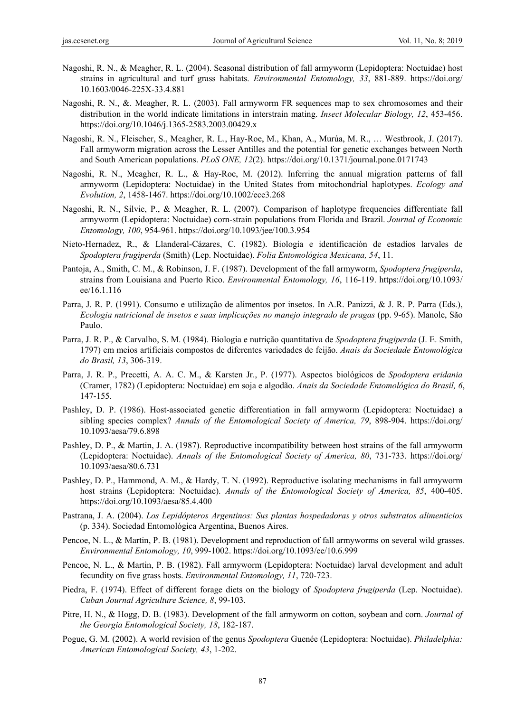- Nagoshi, R. N., & Meagher, R. L. (2004). Seasonal distribution of fall armyworm (Lepidoptera: Noctuidae) host strains in agricultural and turf grass habitats. *Environmental Entomology, 33*, 881-889. https://doi.org/ 10.1603/0046-225X-33.4.881
- Nagoshi, R. N., &. Meagher, R. L. (2003). Fall armyworm FR sequences map to sex chromosomes and their distribution in the world indicate limitations in interstrain mating. *Insect Molecular Biology, 12*, 453-456. https://doi.org/10.1046/j.1365-2583.2003.00429.x
- Nagoshi, R. N., Fleischer, S., Meagher, R. L., Hay-Roe, M., Khan, A., Murúa, M. R., … Westbrook, J. (2017). Fall armyworm migration across the Lesser Antilles and the potential for genetic exchanges between North and South American populations. *PLoS ONE, 12*(2). https://doi.org/10.1371/journal.pone.0171743
- Nagoshi, R. N., Meagher, R. L., & Hay-Roe, M. (2012). Inferring the annual migration patterns of fall armyworm (Lepidoptera: Noctuidae) in the United States from mitochondrial haplotypes. *Ecology and Evolution, 2*, 1458-1467. https://doi.org/10.1002/ece3.268
- Nagoshi, R. N., Silvie, P., & Meagher, R. L. (2007). Comparison of haplotype frequencies differentiate fall armyworm (Lepidoptera: Noctuidae) corn-strain populations from Florida and Brazil. *Journal of Economic Entomology, 100*, 954-961. https://doi.org/10.1093/jee/100.3.954
- Nieto-Hernadez, R., & Llanderal-Cázares, C. (1982). Biología e identificación de estadíos larvales de *Spodoptera frugiperda* (Smith) (Lep. Noctuidae). *Folia Entomológica Mexicana, 54*, 11.
- Pantoja, A., Smith, C. M., & Robinson, J. F. (1987). Development of the fall armyworm, *Spodoptera frugiperda*, strains from Louisiana and Puerto Rico. *Environmental Entomology, 16*, 116-119. https://doi.org/10.1093/ ee/16.1.116
- Parra, J. R. P. (1991). Consumo e utilização de alimentos por insetos. In A.R. Panizzi, & J. R. P. Parra (Eds.), *Ecologia nutricional de insetos e suas implicações no manejo integrado de pragas* (pp. 9-65). Manole, São Paulo.
- Parra, J. R. P., & Carvalho, S. M. (1984). Biologia e nutrição quantitativa de *Spodoptera frugiperda* (J. E. Smith, 1797) em meios artificiais compostos de diferentes variedades de feijão. *Anais da Sociedade Entomológica do Brasil, 13*, 306-319.
- Parra, J. R. P., Precetti, A. A. C. M., & Karsten Jr., P. (1977). Aspectos biológicos de *Spodoptera eridania*  (Cramer, 1782) (Lepidoptera: Noctuidae) em soja e algodão. *Anais da Sociedade Entomológica do Brasil, 6*, 147-155.
- Pashley, D. P. (1986). Host-associated genetic differentiation in fall armyworm (Lepidoptera: Noctuidae) a sibling species complex? *Annals of the Entomological Society of America, 79*, 898-904. https://doi.org/ 10.1093/aesa/79.6.898
- Pashley, D. P., & Martin, J. A. (1987). Reproductive incompatibility between host strains of the fall armyworm (Lepidoptera: Noctuidae). *Annals of the Entomological Society of America, 80*, 731-733. https://doi.org/ 10.1093/aesa/80.6.731
- Pashley, D. P., Hammond, A. M., & Hardy, T. N. (1992). Reproductive isolating mechanisms in fall armyworm host strains (Lepidoptera: Noctuidae). *Annals of the Entomological Society of America, 85*, 400-405. https://doi.org/10.1093/aesa/85.4.400
- Pastrana, J. A. (2004). *Los Lepidópteros Argentinos: Sus plantas hospedadoras y otros substratos alimenticios* (p. 334). Sociedad Entomológica Argentina, Buenos Aires.
- Pencoe, N. L., & Martin, P. B. (1981). Development and reproduction of fall armyworms on several wild grasses. *Environmental Entomology, 10*, 999-1002. https://doi.org/10.1093/ee/10.6.999
- Pencoe, N. L., & Martin, P. B. (1982). Fall armyworm (Lepidoptera: Noctuidae) larval development and adult fecundity on five grass hosts. *Environmental Entomology, 11*, 720-723.
- Piedra, F. (1974). Effect of different forage diets on the biology of *Spodoptera frugiperda* (Lep. Noctuidae). *Cuban Journal Agriculture Science, 8*, 99-103.
- Pitre, H. N., & Hogg, D. B. (1983). Development of the fall armyworm on cotton, soybean and corn. *Journal of the Georgia Entomological Society, 18*, 182-187.
- Pogue, G. M. (2002). A world revision of the genus *Spodoptera* Guenée (Lepidoptera: Noctuidae). *Philadelphia: American Entomological Society, 43*, 1-202.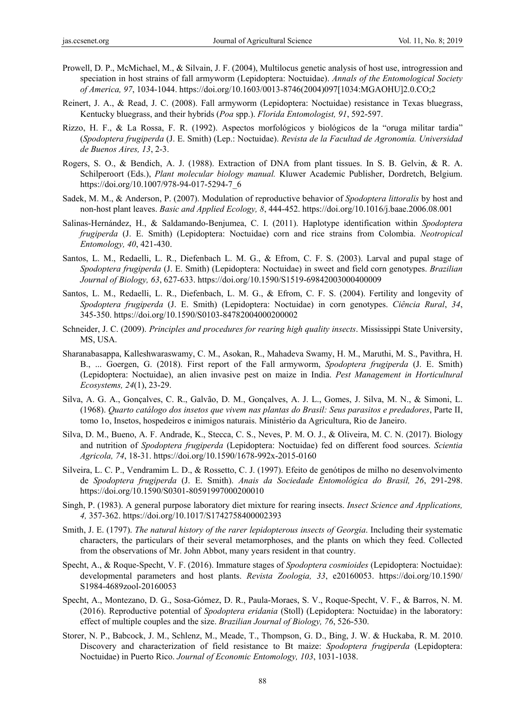- Prowell, D. P., McMichael, M., & Silvain, J. F. (2004), Multilocus genetic analysis of host use, introgression and speciation in host strains of fall armyworm (Lepidoptera: Noctuidae). *Annals of the Entomological Society of America, 97*, 1034-1044. https://doi.org/10.1603/0013-8746(2004)097[1034:MGAOHU]2.0.CO;2
- Reinert, J. A., & Read, J. C. (2008). Fall armyworm (Lepidoptera: Noctuidae) resistance in Texas bluegrass, Kentucky bluegrass, and their hybrids (*Poa* spp.). *Florida Entomologist, 91*, 592-597.
- Rizzo, H. F., & La Rossa, F. R. (1992). Aspectos morfológicos y biológicos de la "oruga militar tardia" (*Spodoptera frugiperda* (J. E. Smith) (Lep.: Noctuidae). *Revista de la Facultad de Agronomía. Universidad de Buenos Aires, 13*, 2-3.
- Rogers, S. O., & Bendich, A. J. (1988). Extraction of DNA from plant tissues. In S. B. Gelvin, & R. A. Schilperoort (Eds.), *Plant molecular biology manual.* Kluwer Academic Publisher, Dordretch, Belgium. https://doi.org/10.1007/978-94-017-5294-7\_6
- Sadek, M. M., & Anderson, P. (2007). Modulation of reproductive behavior of *Spodoptera littoralis* by host and non-host plant leaves. *Basic and Applied Ecology, 8*, 444-452. https://doi.org/10.1016/j.baae.2006.08.001
- Salinas-Hernández, H., & Saldamando-Benjumea, C. I. (2011). Haplotype identification within *Spodoptera frugiperda* (J. E. Smith) (Lepidoptera: Noctuidae) corn and rice strains from Colombia. *Neotropical Entomology, 40*, 421-430.
- Santos, L. M., Redaelli, L. R., Diefenbach L. M. G., & Efrom, C. F. S. (2003). Larval and pupal stage of *Spodoptera frugiperda* (J. E. Smith) (Lepidoptera: Noctuidae) in sweet and field corn genotypes. *Brazilian Journal of Biology, 63*, 627-633. https://doi.org/10.1590/S1519-69842003000400009
- Santos, L. M., Redaelli, L. R., Diefenbach, L. M. G., & Efrom, C. F. S. (2004). Fertility and longevity of *Spodoptera frugiperda* (J. E. Smith) (Lepidoptera: Noctuidae) in corn genotypes. *Ciência Rural*, *34*, 345-350. https://doi.org/10.1590/S0103-84782004000200002
- Schneider, J. C. (2009). *Principles and procedures for rearing high quality insects*. Mississippi State University, MS, USA.
- Sharanabasappa, Kalleshwaraswamy, C. M., Asokan, R., Mahadeva Swamy, H. M., Maruthi, M. S., Pavithra, H. B., ... Goergen, G. (2018). First report of the Fall armyworm, *Spodoptera frugiperda* (J. E. Smith) (Lepidoptera: Noctuidae), an alien invasive pest on maize in India. *Pest Management in Horticultural Ecosystems, 24*(1), 23-29.
- Silva, A. G. A., Gonçalves, C. R., Galvão, D. M., Gonçalves, A. J. L., Gomes, J. Silva, M. N., & Simoni, L. (1968). *Quarto catálogo dos insetos que vivem nas plantas do Brasil: Seus parasitos e predadores*, Parte II, tomo 1o, Insetos, hospedeiros e inimigos naturais. Ministério da Agricultura, Rio de Janeiro.
- Silva, D. M., Bueno, A. F. Andrade, K., Stecca, C. S., Neves, P. M. O. J., & Oliveira, M. C. N. (2017). Biology and nutrition of *Spodoptera frugiperda* (Lepidoptera: Noctuidae) fed on different food sources. *Scientia Agricola, 74*, 18-31. https://doi.org/10.1590/1678-992x-2015-0160
- Silveira, L. C. P., Vendramim L. D., & Rossetto, C. J. (1997). Efeito de genótipos de milho no desenvolvimento de *Spodoptera frugiperda* (J. E. Smith). *Anais da Sociedade Entomológica do Brasil, 26*, 291-298. https://doi.org/10.1590/S0301-80591997000200010
- Singh, P. (1983). A general purpose laboratory diet mixture for rearing insects. *Insect Science and Applications, 4,* 357-362. https://doi.org/10.1017/S1742758400002393
- Smith, J. E. (1797). *The natural history of the rarer lepidopterous insects of Georgia*. Including their systematic characters, the particulars of their several metamorphoses, and the plants on which they feed. Collected from the observations of Mr. John Abbot, many years resident in that country.
- Specht, A., & Roque-Specht, V. F. (2016). Immature stages of *Spodoptera cosmioides* (Lepidoptera: Noctuidae): developmental parameters and host plants. *Revista Zoologia, 33*, e20160053. https://doi.org/10.1590/ S1984-4689zool-20160053
- Specht, A., Montezano, D. G., Sosa-Gómez, D. R., Paula-Moraes, S. V., Roque-Specht, V. F., & Barros, N. M. (2016). Reproductive potential of *Spodoptera eridania* (Stoll) (Lepidoptera: Noctuidae) in the laboratory: effect of multiple couples and the size. *Brazilian Journal of Biology, 76*, 526-530.
- Storer, N. P., Babcock, J. M., Schlenz, M., Meade, T., Thompson, G. D., Bing, J. W. & Huckaba, R. M. 2010. Discovery and characterization of field resistance to Bt maize: *Spodoptera frugiperda* (Lepidoptera: Noctuidae) in Puerto Rico. *Journal of Economic Entomology, 103*, 1031-1038.